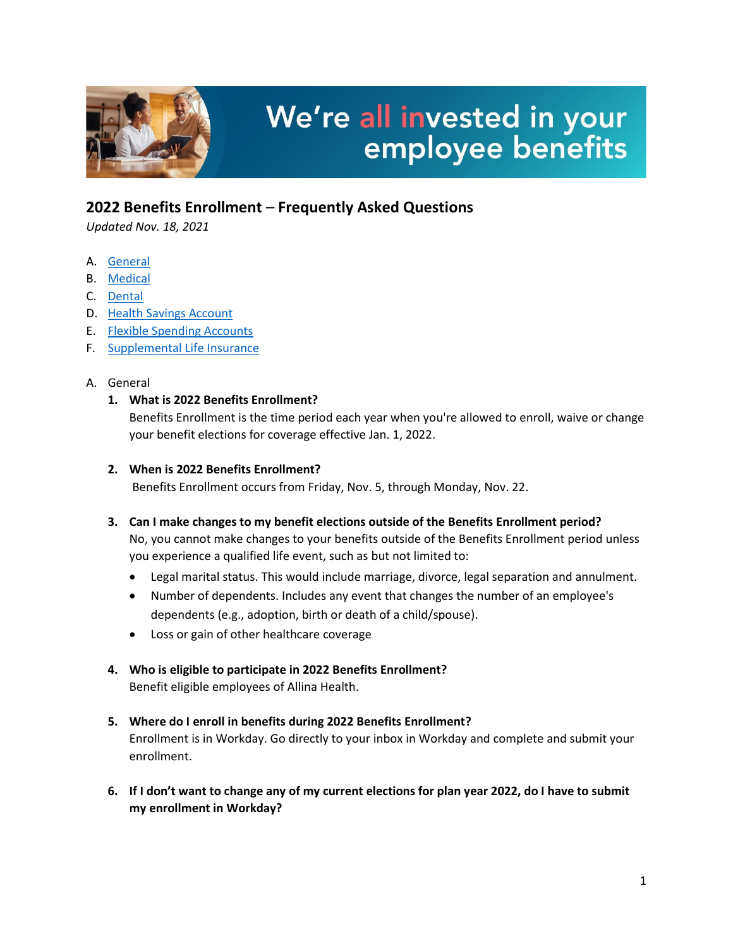

# We're all invested in your employee benefits

## **2022 Benefits Enrollment** – **Frequently Asked Questions**

*Updated Nov. 18, 2021*

- A. [General](#page-0-0)
- B. [Medical](#page-1-0)
- C. [Dental](#page-3-0)
- D. [Health Savings Account](#page-3-1)
- E. [Flexible Spending Accounts](#page-4-0)
- F. [Supplemental Life Insurance](#page-5-0)

#### <span id="page-0-0"></span>A. General

#### **1. What is 2022 Benefits Enrollment?**

Benefits Enrollment is the time period each year when you're allowed to enroll, waive or change your benefit elections for coverage effective Jan. 1, 2022.

#### **2. When is 2022 Benefits Enrollment?**

Benefits Enrollment occurs from Friday, Nov. 5, through Monday, Nov. 22.

#### **3. Can I make changes to my benefit elections outside of the Benefits Enrollment period?**

No, you cannot make changes to your benefits outside of the Benefits Enrollment period unless you experience a qualified life event, such as but not limited to:

- Legal marital status. This would include marriage, divorce, legal separation and annulment.
- Number of dependents. Includes any event that changes the number of an employee's dependents (e.g., adoption, birth or death of a child/spouse).
- Loss or gain of other healthcare coverage

#### **4. Who is eligible to participate in 2022 Benefits Enrollment?**

Benefit eligible employees of Allina Health.

# **5. Where do I enroll in benefits during 2022 Benefits Enrollment?**

Enrollment is in Workday. Go directly to your inbox in Workday and complete and submit your enrollment.

**6. If I don't want to change any of my current elections for plan year 2022, do I have to submit my enrollment in Workday?**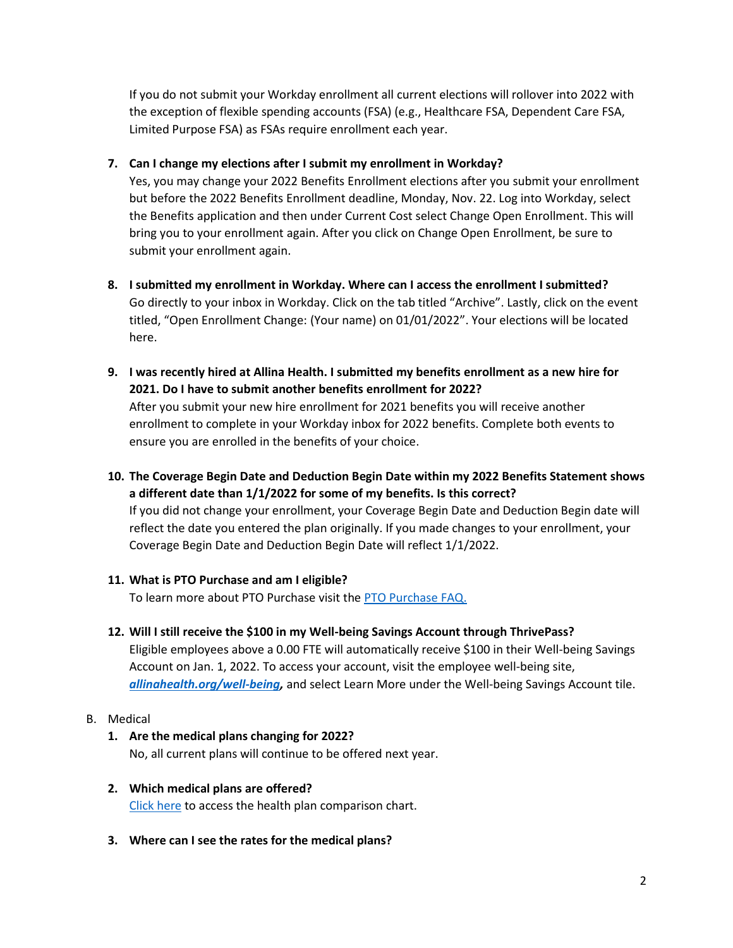If you do not submit your Workday enrollment all current elections will rollover into 2022 with the exception of flexible spending accounts (FSA) (e.g., Healthcare FSA, Dependent Care FSA, Limited Purpose FSA) as FSAs require enrollment each year.

#### **7. Can I change my elections after I submit my enrollment in Workday?**

Yes, you may change your 2022 Benefits Enrollment elections after you submit your enrollment but before the 2022 Benefits Enrollment deadline, Monday, Nov. 22. Log into Workday, select the Benefits application and then under Current Cost select Change Open Enrollment. This will bring you to your enrollment again. After you click on Change Open Enrollment, be sure to submit your enrollment again.

- **8. I submitted my enrollment in Workday. Where can I access the enrollment I submitted?** Go directly to your inbox in Workday. Click on the tab titled "Archive". Lastly, click on the event titled, "Open Enrollment Change: (Your name) on 01/01/2022". Your elections will be located here.
- **9. I was recently hired at Allina Health. I submitted my benefits enrollment as a new hire for 2021. Do I have to submit another benefits enrollment for 2022?**

After you submit your new hire enrollment for 2021 benefits you will receive another enrollment to complete in your Workday inbox for 2022 benefits. Complete both events to ensure you are enrolled in the benefits of your choice.

**10. The Coverage Begin Date and Deduction Begin Date within my 2022 Benefits Statement shows a different date than 1/1/2022 for some of my benefits. Is this correct?**  If you did not change your enrollment, your Coverage Begin Date and Deduction Begin date will reflect the date you entered the plan originally. If you made changes to your enrollment, your Coverage Begin Date and Deduction Begin Date will reflect 1/1/2022.

#### **11. What is PTO Purchase and am I eligible?**

To learn more about PTO Purchase visit the [PTO Purchase](https://www.allinahealth.org/-/media/files/2022-benefits-enrollment/paid-time-off-purchase_benefits-enrollment-microsite-information.pdf?la=en&hash=B3864EC10A005E31286FC38D2C006F82) FAQ.

#### **12. Will I still receive the \$100 in my Well-being Savings Account through ThrivePass?**

Eligible employees above a 0.00 FTE will automatically receive \$100 in their Well-being Savings Account on Jan. 1, 2022. To access your account, visit the employee well-being site, *[allinahealth.org/well-being,](http://www.allinahealth.org/well-being)* and select Learn More under the Well-being Savings Account tile.

#### <span id="page-1-0"></span>B. Medical

#### **1. Are the medical plans changing for 2022?**  No, all current plans will continue to be offered next year.

- **2. Which medical plans are offered?**  [Click here](https://www.allinahealth.org/-/media/files/2022-benefits-enrollment/nct-rates-chart.pdf?la=en&hash=6D8CA4D7ECC056819EC7F6A7E4D620E7) to access the health plan comparison chart.
- **3. Where can I see the rates for the medical plans?**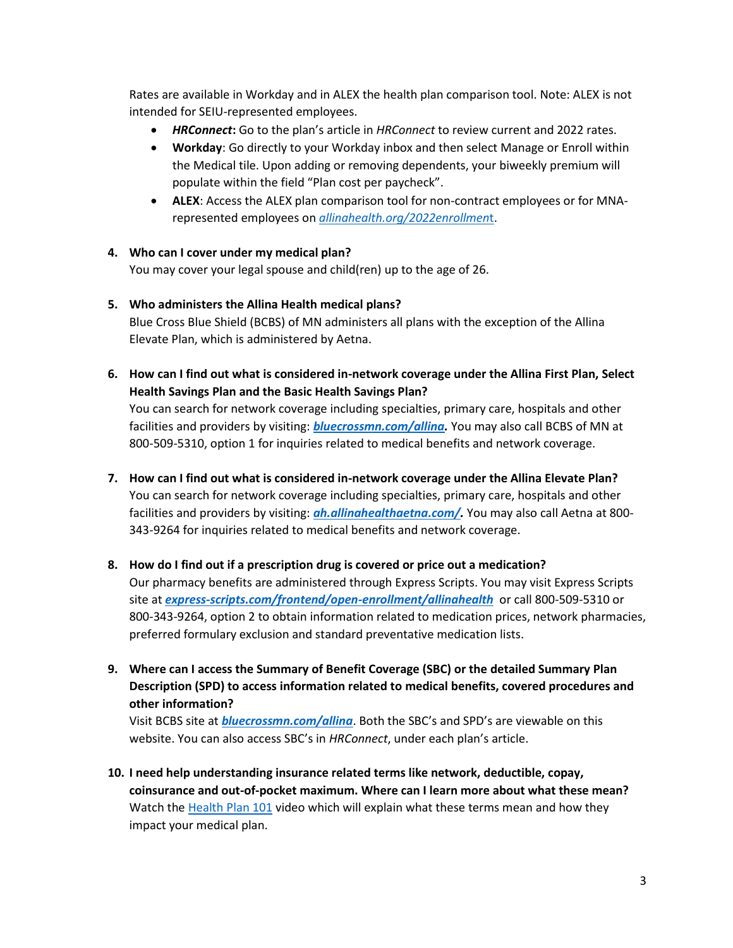Rates are available in Workday and in ALEX the health plan comparison tool. Note: ALEX is not intended for SEIU-represented employees.

- *HRConnect***:** Go to the plan's article in *HRConnect* to review current and 2022 rates.
- **Workday**: Go directly to your Workday inbox and then select Manage or Enroll within the Medical tile. Upon adding or removing dependents, your biweekly premium will populate within the field "Plan cost per paycheck".
- **ALEX**: Access the ALEX plan comparison tool for non-contract employees or for MNArepresented employees on *[allinahealth.org/2022enrollmen](https://www.allinahealth.org/2022enrollment)*t.

#### **4. Who can I cover under my medical plan?**

You may cover your legal spouse and child(ren) up to the age of 26.

#### **5. Who administers the Allina Health medical plans?**

Blue Cross Blue Shield (BCBS) of MN administers all plans with the exception of the Allina Elevate Plan, which is administered by Aetna.

**6. How can I find out what is considered in-network coverage under the Allina First Plan, Select Health Savings Plan and the Basic Health Savings Plan?** 

You can search for network coverage including specialties, primary care, hospitals and other facilities and providers by visiting: *[bluecrossmn.com/allina.](https://www.bluecrossmn.com/allina)* You may also call BCBS of MN at 800-509-5310, option 1 for inquiries related to medical benefits and network coverage.

- **7. How can I find out what is considered in-network coverage under the Allina Elevate Plan?** You can search for network coverage including specialties, primary care, hospitals and other facilities and providers by visiting: *[ah.allinahealthaetna.com/.](https://ah.allinahealthaetna.com/)* You may also call Aetna at 800- 343-9264 for inquiries related to medical benefits and network coverage.
- **8. How do I find out if a prescription drug is covered or price out a medication?**  Our pharmacy benefits are administered through Express Scripts. You may visit Express Scripts site at *[express-scripts.com/frontend/open-enrollment/allinahealth](https://www.express-scripts.com/frontend/open-enrollment/allinahealth)* or call 800-509-5310 or 800-343-9264, option 2 to obtain information related to medication prices, network pharmacies, preferred formulary exclusion and standard preventative medication lists.
- **9. Where can I access the Summary of Benefit Coverage (SBC) or the detailed Summary Plan Description (SPD) to access information related to medical benefits, covered procedures and other information?**

Visit BCBS site at *[bluecrossmn.com/allina](https://www.bluecrossmn.com/allina)*. Both the SBC's and SPD's are viewable on this website. You can also access SBC's in *HRConnect*, under each plan's article.

**10. I need help understanding insurance related terms like network, deductible, copay, coinsurance and out-of-pocket maximum. Where can I learn more about what these mean?**  Watch the [Health Plan 101](https://vimeo.com/westcommvideos/review/609812730/3d54ef0dea) video which will explain what these terms mean and how they impact your medical plan.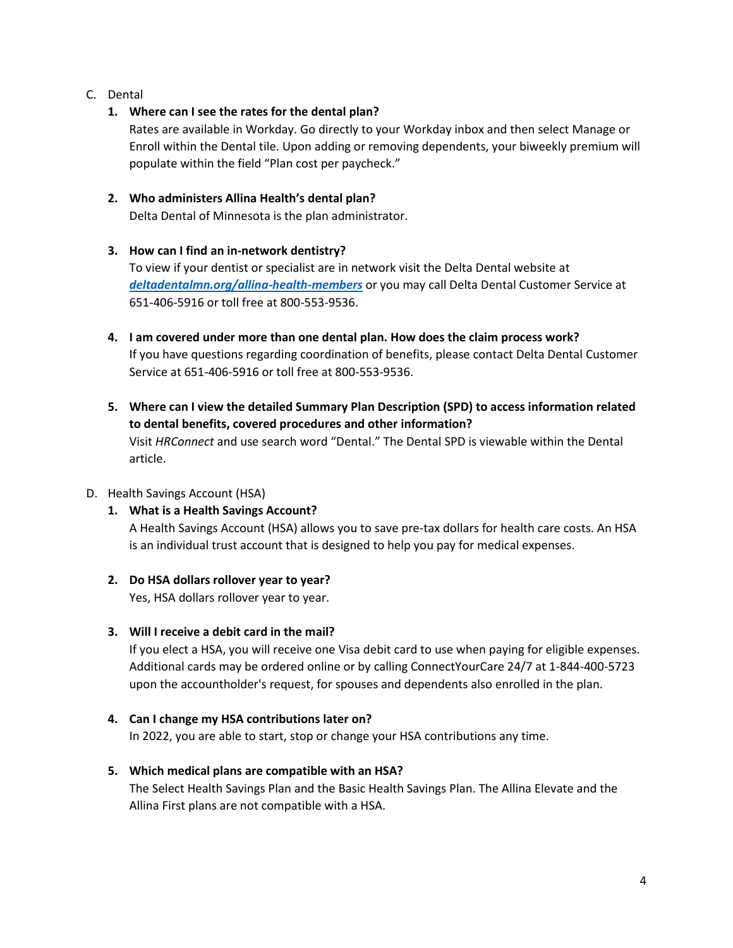<span id="page-3-0"></span>C. Dental

#### **1. Where can I see the rates for the dental plan?**

Rates are available in Workday. Go directly to your Workday inbox and then select Manage or Enroll within the Dental tile. Upon adding or removing dependents, your biweekly premium will populate within the field "Plan cost per paycheck."

#### **2. Who administers Allina Health's dental plan?**

Delta Dental of Minnesota is the plan administrator.

#### **3. How can I find an in-network dentistry?**

To view if your dentist or specialist are in network visit the Delta Dental website at *[deltadentalmn.org/allina-health-members](https://www.deltadentalmn.org/allina-health-members)* or you may call Delta Dental Customer Service at 651-406-5916 or toll free at 800-553-9536.

- **4. I am covered under more than one dental plan. How does the claim process work?**  If you have questions regarding coordination of benefits, please contact Delta Dental Customer Service at 651-406-5916 or toll free at 800-553-9536.
- **5. Where can I view the detailed Summary Plan Description (SPD) to access information related to dental benefits, covered procedures and other information?**  Visit *HRConnect* and use search word "Dental." The Dental SPD is viewable within the Dental article.

#### <span id="page-3-1"></span>D. Health Savings Account (HSA)

### **1. What is a Health Savings Account?**

A Health Savings Account (HSA) allows you to save pre-tax dollars for health care costs. An HSA is an individual trust account that is designed to help you pay for medical expenses.

#### **2. Do HSA dollars rollover year to year?**

Yes, HSA dollars rollover year to year.

#### **3. Will I receive a debit card in the mail?**

If you elect a HSA, you will receive one Visa debit card to use when paying for eligible expenses. Additional cards may be ordered online or by calling ConnectYourCare 24/7 at 1-844-400-5723 upon the accountholder's request, for spouses and dependents also enrolled in the plan.

#### **4. Can I change my HSA contributions later on?**

In 2022, you are able to start, stop or change your HSA contributions any time.

#### **5. Which medical plans are compatible with an HSA?**

The Select Health Savings Plan and the Basic Health Savings Plan. The Allina Elevate and the Allina First plans are not compatible with a HSA.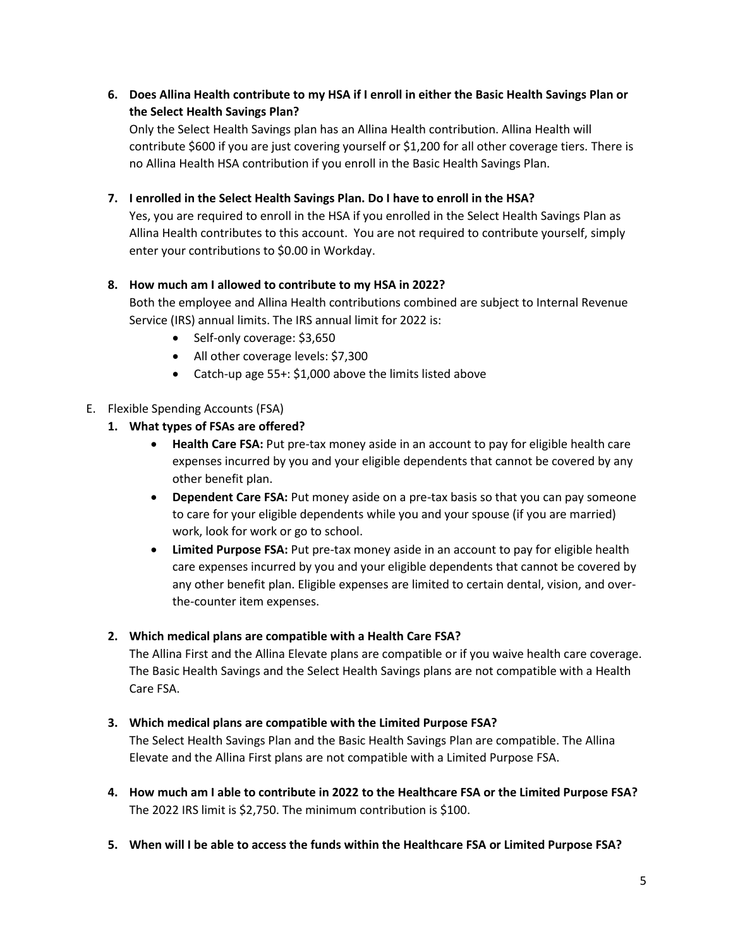#### **6. Does Allina Health contribute to my HSA if I enroll in either the Basic Health Savings Plan or the Select Health Savings Plan?**

Only the Select Health Savings plan has an Allina Health contribution. Allina Health will contribute \$600 if you are just covering yourself or \$1,200 for all other coverage tiers. There is no Allina Health HSA contribution if you enroll in the Basic Health Savings Plan.

#### **7. I enrolled in the Select Health Savings Plan. Do I have to enroll in the HSA?**

Yes, you are required to enroll in the HSA if you enrolled in the Select Health Savings Plan as Allina Health contributes to this account. You are not required to contribute yourself, simply enter your contributions to \$0.00 in Workday.

#### **8. How much am I allowed to contribute to my HSA in 2022?**

Both the employee and Allina Health contributions combined are subject to Internal Revenue Service (IRS) annual limits. The IRS annual limit for 2022 is:

- Self-only coverage: \$3,650
- All other coverage levels: \$7,300
- Catch-up age 55+: \$1,000 above the limits listed above

#### <span id="page-4-0"></span>E. Flexible Spending Accounts (FSA)

#### **1. What types of FSAs are offered?**

- **Health Care FSA:** Put pre-tax money aside in an account to pay for eligible health care expenses incurred by you and your eligible dependents that cannot be covered by any other benefit plan.
- **Dependent Care FSA:** Put money aside on a pre-tax basis so that you can pay someone to care for your eligible dependents while you and your spouse (if you are married) work, look for work or go to school.
- **Limited Purpose FSA:** Put pre-tax money aside in an account to pay for eligible health care expenses incurred by you and your eligible dependents that cannot be covered by any other benefit plan. Eligible expenses are limited to certain dental, vision, and overthe-counter item expenses.

#### **2. Which medical plans are compatible with a Health Care FSA?**

The Allina First and the Allina Elevate plans are compatible or if you waive health care coverage. The Basic Health Savings and the Select Health Savings plans are not compatible with a Health Care FSA.

#### **3. Which medical plans are compatible with the Limited Purpose FSA?**

The Select Health Savings Plan and the Basic Health Savings Plan are compatible. The Allina Elevate and the Allina First plans are not compatible with a Limited Purpose FSA.

- **4. How much am I able to contribute in 2022 to the Healthcare FSA or the Limited Purpose FSA?**  The 2022 IRS limit is \$2,750. The minimum contribution is \$100.
- **5. When will I be able to access the funds within the Healthcare FSA or Limited Purpose FSA?**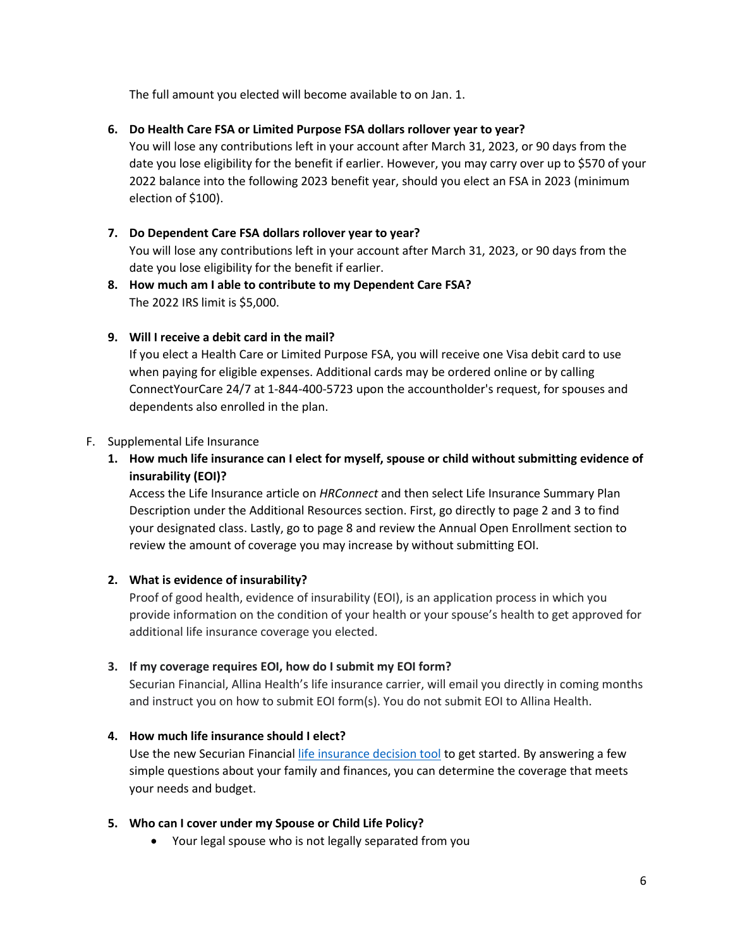The full amount you elected will become available to on Jan. 1.

#### **6. Do Health Care FSA or Limited Purpose FSA dollars rollover year to year?**

You will lose any contributions left in your account after March 31, 2023, or 90 days from the date you lose eligibility for the benefit if earlier. However, you may carry over up to \$570 of your 2022 balance into the following 2023 benefit year, should you elect an FSA in 2023 (minimum election of \$100).

## **7. Do Dependent Care FSA dollars rollover year to year?**  You will lose any contributions left in your account after March 31, 2023, or 90 days from the date you lose eligibility for the benefit if earlier.

**8. How much am I able to contribute to my Dependent Care FSA?**  The 2022 IRS limit is \$5,000.

#### **9. Will I receive a debit card in the mail?**

If you elect a Health Care or Limited Purpose FSA, you will receive one Visa debit card to use when paying for eligible expenses. Additional cards may be ordered online or by calling ConnectYourCare 24/7 at 1-844-400-5723 upon the accountholder's request, for spouses and dependents also enrolled in the plan.

#### <span id="page-5-0"></span>F. Supplemental Life Insurance

**1. How much life insurance can I elect for myself, spouse or child without submitting evidence of insurability (EOI)?**

Access the Life Insurance article on *HRConnect* and then select Life Insurance Summary Plan Description under the Additional Resources section. First, go directly to page 2 and 3 to find your designated class. Lastly, go to page 8 and review the Annual Open Enrollment section to review the amount of coverage you may increase by without submitting EOI.

#### **2. What is evidence of insurability?**

Proof of good health, evidence of insurability (EOI), is an application process in which you provide information on the condition of your health or your spouse's health to get approved for additional life insurance coverage you elected.

#### **3. If my coverage requires EOI, how do I submit my EOI form?**

Securian Financial, Allina Health's life insurance carrier, will email you directly in coming months and instruct you on how to submit EOI form(s). You do not submit EOI to Allina Health.

#### **4. How much life insurance should I elect?**

Use the new Securian Financial [life insurance decision tool](https://scout.securian.com/?id=011840.0001&strala_id=1003518) to get started. By answering a few simple questions about your family and finances, you can determine the coverage that meets your needs and budget.

#### **5. Who can I cover under my Spouse or Child Life Policy?**

Your legal spouse who is not legally separated from you